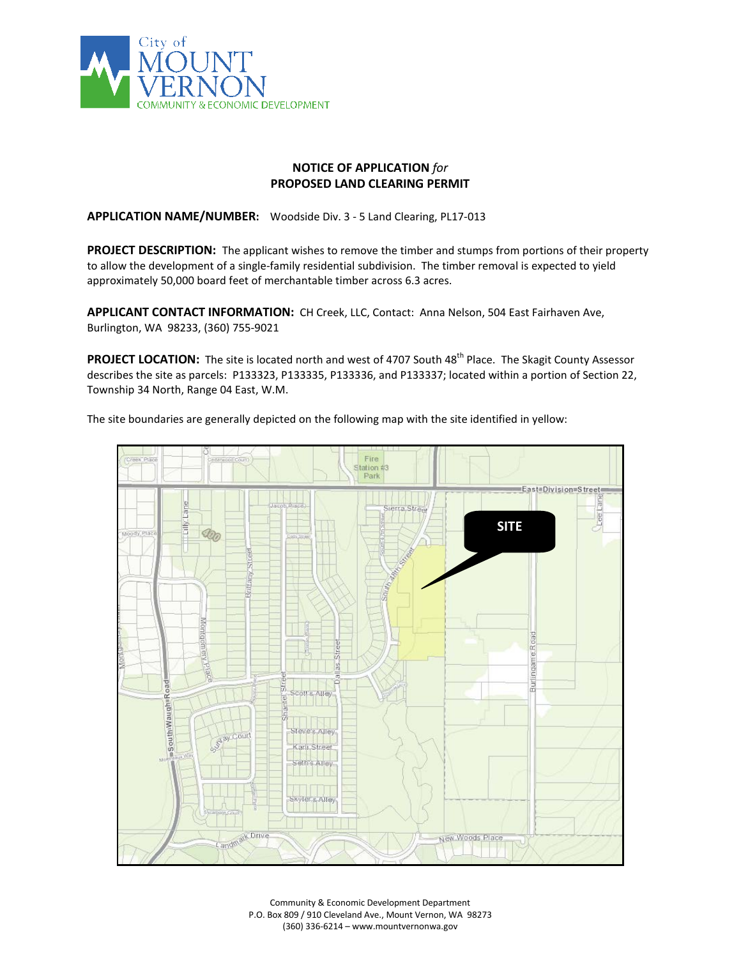

## **NOTICE OF APPLICATION** *for* **PROPOSED LAND CLEARING PERMIT**

**APPLICATION NAME/NUMBER:** Woodside Div. 3 - 5 Land Clearing, PL17-013

**PROJECT DESCRIPTION:** The applicant wishes to remove the timber and stumps from portions of their property to allow the development of a single-family residential subdivision. The timber removal is expected to yield approximately 50,000 board feet of merchantable timber across 6.3 acres.

**APPLICANT CONTACT INFORMATION:** CH Creek, LLC, Contact: Anna Nelson, 504 East Fairhaven Ave, Burlington, WA 98233, (360) 755-9021

PROJECT LOCATION: The site is located north and west of 4707 South 48<sup>th</sup> Place. The Skagit County Assessor describes the site as parcels: P133323, P133335, P133336, and P133337; located within a portion of Section 22, Township 34 North, Range 04 East, W.M.

The site boundaries are generally depicted on the following map with the site identified in yellow:



Community & Economic Development Department P.O. Box 809 / 910 Cleveland Ave., Mount Vernon, WA 98273 (360) 336-6214 – www.mountvernonwa.gov